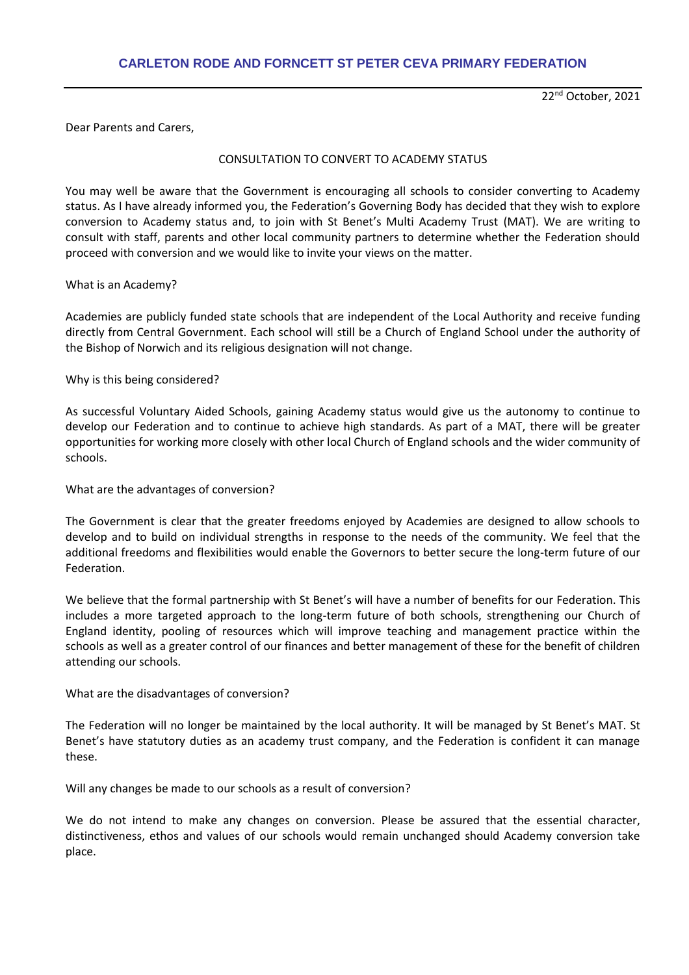22nd October, 2021

Dear Parents and Carers,

# CONSULTATION TO CONVERT TO ACADEMY STATUS

You may well be aware that the Government is encouraging all schools to consider converting to Academy status. As I have already informed you, the Federation's Governing Body has decided that they wish to explore conversion to Academy status and, to join with St Benet's Multi Academy Trust (MAT). We are writing to consult with staff, parents and other local community partners to determine whether the Federation should proceed with conversion and we would like to invite your views on the matter.

# What is an Academy?

Academies are publicly funded state schools that are independent of the Local Authority and receive funding directly from Central Government. Each school will still be a Church of England School under the authority of the Bishop of Norwich and its religious designation will not change.

# Why is this being considered?

As successful Voluntary Aided Schools, gaining Academy status would give us the autonomy to continue to develop our Federation and to continue to achieve high standards. As part of a MAT, there will be greater opportunities for working more closely with other local Church of England schools and the wider community of schools.

### What are the advantages of conversion?

The Government is clear that the greater freedoms enjoyed by Academies are designed to allow schools to develop and to build on individual strengths in response to the needs of the community. We feel that the additional freedoms and flexibilities would enable the Governors to better secure the long-term future of our Federation.

We believe that the formal partnership with St Benet's will have a number of benefits for our Federation. This includes a more targeted approach to the long-term future of both schools, strengthening our Church of England identity, pooling of resources which will improve teaching and management practice within the schools as well as a greater control of our finances and better management of these for the benefit of children attending our schools.

### What are the disadvantages of conversion?

The Federation will no longer be maintained by the local authority. It will be managed by St Benet's MAT. St Benet's have statutory duties as an academy trust company, and the Federation is confident it can manage these.

Will any changes be made to our schools as a result of conversion?

We do not intend to make any changes on conversion. Please be assured that the essential character, distinctiveness, ethos and values of our schools would remain unchanged should Academy conversion take place.